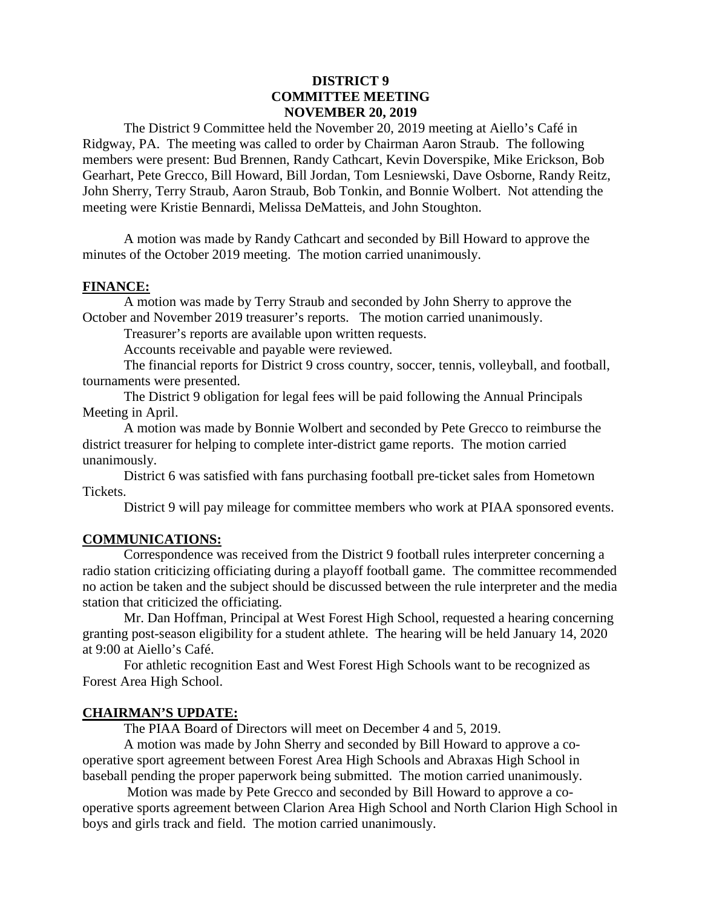#### **DISTRICT 9 COMMITTEE MEETING NOVEMBER 20, 2019**

The District 9 Committee held the November 20, 2019 meeting at Aiello's Café in Ridgway, PA. The meeting was called to order by Chairman Aaron Straub. The following members were present: Bud Brennen, Randy Cathcart, Kevin Doverspike, Mike Erickson, Bob Gearhart, Pete Grecco, Bill Howard, Bill Jordan, Tom Lesniewski, Dave Osborne, Randy Reitz, John Sherry, Terry Straub, Aaron Straub, Bob Tonkin, and Bonnie Wolbert. Not attending the meeting were Kristie Bennardi, Melissa DeMatteis, and John Stoughton.

A motion was made by Randy Cathcart and seconded by Bill Howard to approve the minutes of the October 2019 meeting. The motion carried unanimously.

#### **FINANCE:**

A motion was made by Terry Straub and seconded by John Sherry to approve the October and November 2019 treasurer's reports. The motion carried unanimously.

Treasurer's reports are available upon written requests.

Accounts receivable and payable were reviewed.

The financial reports for District 9 cross country, soccer, tennis, volleyball, and football, tournaments were presented.

The District 9 obligation for legal fees will be paid following the Annual Principals Meeting in April.

A motion was made by Bonnie Wolbert and seconded by Pete Grecco to reimburse the district treasurer for helping to complete inter-district game reports. The motion carried unanimously.

District 6 was satisfied with fans purchasing football pre-ticket sales from Hometown Tickets.

District 9 will pay mileage for committee members who work at PIAA sponsored events.

## **COMMUNICATIONS:**

Correspondence was received from the District 9 football rules interpreter concerning a radio station criticizing officiating during a playoff football game. The committee recommended no action be taken and the subject should be discussed between the rule interpreter and the media station that criticized the officiating.

Mr. Dan Hoffman, Principal at West Forest High School, requested a hearing concerning granting post-season eligibility for a student athlete. The hearing will be held January 14, 2020 at 9:00 at Aiello's Café.

For athletic recognition East and West Forest High Schools want to be recognized as Forest Area High School.

## **CHAIRMAN'S UPDATE:**

The PIAA Board of Directors will meet on December 4 and 5, 2019.

A motion was made by John Sherry and seconded by Bill Howard to approve a cooperative sport agreement between Forest Area High Schools and Abraxas High School in baseball pending the proper paperwork being submitted. The motion carried unanimously.

Motion was made by Pete Grecco and seconded by Bill Howard to approve a cooperative sports agreement between Clarion Area High School and North Clarion High School in boys and girls track and field. The motion carried unanimously.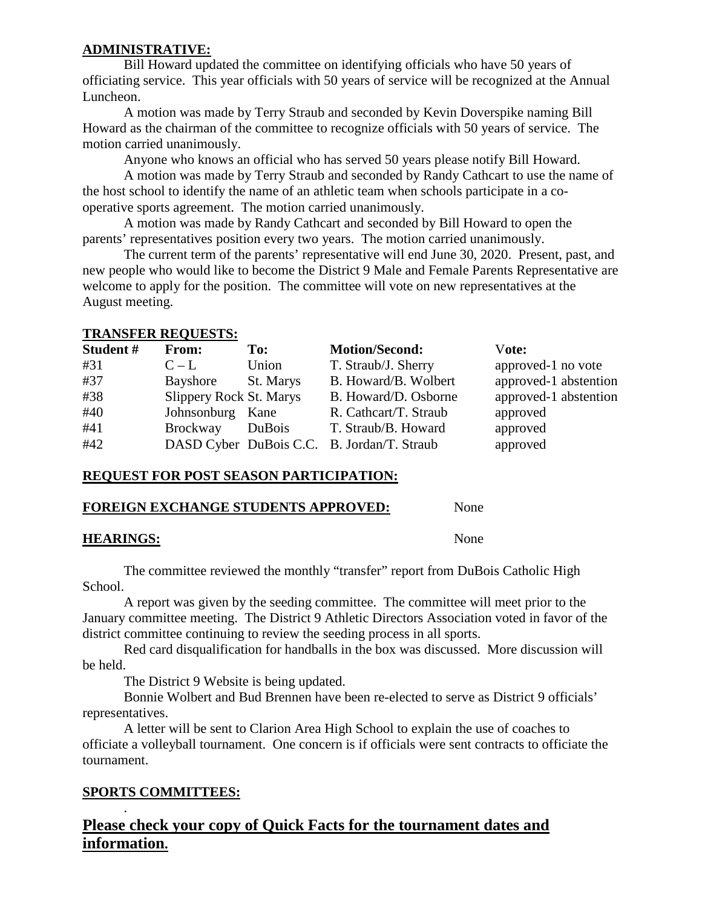### **ADMINISTRATIVE:**

Bill Howard updated the committee on identifying officials who have 50 years of officiating service. This year officials with 50 years of service will be recognized at the Annual Luncheon.

A motion was made by Terry Straub and seconded by Kevin Doverspike naming Bill Howard as the chairman of the committee to recognize officials with 50 years of service. The motion carried unanimously.

Anyone who knows an official who has served 50 years please notify Bill Howard.

A motion was made by Terry Straub and seconded by Randy Cathcart to use the name of the host school to identify the name of an athletic team when schools participate in a cooperative sports agreement. The motion carried unanimously.

A motion was made by Randy Cathcart and seconded by Bill Howard to open the parents' representatives position every two years. The motion carried unanimously.

The current term of the parents' representative will end June 30, 2020. Present, past, and new people who would like to become the District 9 Male and Female Parents Representative are welcome to apply for the position. The committee will vote on new representatives at the August meeting.

#### **TRANSFER REQUESTS:**

| Student# | From:                          | To:       | <b>Motion/Second:</b>                      | Vote:                 |
|----------|--------------------------------|-----------|--------------------------------------------|-----------------------|
| #31      | $C - L$                        | Union     | T. Straub/J. Sherry                        | approved-1 no vote    |
| #37      | Bayshore                       | St. Marys | B. Howard/B. Wolbert                       | approved-1 abstention |
| #38      | <b>Slippery Rock St. Marys</b> |           | B. Howard/D. Osborne                       | approved-1 abstention |
| #40      | Johnsonburg Kane               |           | R. Cathcart/T. Straub                      | approved              |
| #41      | Brockway                       | DuBois    | T. Straub/B. Howard                        | approved              |
| #42      |                                |           | DASD Cyber DuBois C.C. B. Jordan/T. Straub | approved              |

#### **REQUEST FOR POST SEASON PARTICIPATION:**

#### **FOREIGN EXCHANGE STUDENTS APPROVED:** None

## **HEARINGS:** None

The committee reviewed the monthly "transfer" report from DuBois Catholic High School.

A report was given by the seeding committee. The committee will meet prior to the January committee meeting. The District 9 Athletic Directors Association voted in favor of the district committee continuing to review the seeding process in all sports.

Red card disqualification for handballs in the box was discussed. More discussion will be held.

The District 9 Website is being updated.

Bonnie Wolbert and Bud Brennen have been re-elected to serve as District 9 officials' representatives.

A letter will be sent to Clarion Area High School to explain the use of coaches to officiate a volleyball tournament. One concern is if officials were sent contracts to officiate the tournament.

## **SPORTS COMMITTEES:**

.

# **Please check your copy of Quick Facts for the tournament dates and information.**